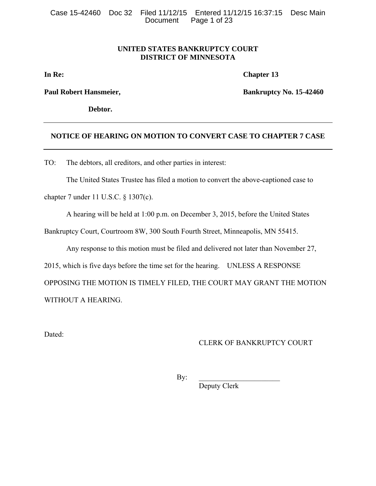# **UNITED STATES BANKRUPTCY COURT DISTRICT OF MINNESOTA**

**In Re:** Chapter 13

**Debtor.** 

**Paul Robert Hansmeier, Southern Paul Robert Hansmeier, Bankruptcy No. 15-42460** 

# **NOTICE OF HEARING ON MOTION TO CONVERT CASE TO CHAPTER 7 CASE**

TO: The debtors, all creditors, and other parties in interest:

The United States Trustee has filed a motion to convert the above-captioned case to

chapter 7 under 11 U.S.C. § 1307(c).

A hearing will be held at 1:00 p.m. on December 3, 2015, before the United States

Bankruptcy Court, Courtroom 8W, 300 South Fourth Street, Minneapolis, MN 55415.

Any response to this motion must be filed and delivered not later than November 27,

2015, which is five days before the time set for the hearing. UNLESS A RESPONSE

OPPOSING THE MOTION IS TIMELY FILED, THE COURT MAY GRANT THE MOTION WITHOUT A HEARING.

Dated:

# CLERK OF BANKRUPTCY COURT

 $\mathbf{By:}$ 

Deputy Clerk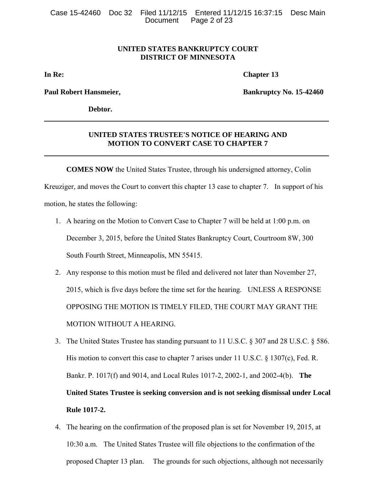## **UNITED STATES BANKRUPTCY COURT DISTRICT OF MINNESOTA**

**In Re:** Chapter 13

**Paul Robert Hansmeier, The Community Community Bankruptcy No. 15-42460** 

**Debtor.** 

## **UNITED STATES TRUSTEE'S NOTICE OF HEARING AND MOTION TO CONVERT CASE TO CHAPTER 7**

**COMES NOW** the United States Trustee, through his undersigned attorney, Colin Kreuziger, and moves the Court to convert this chapter 13 case to chapter 7. In support of his

motion, he states the following:

- 1. A hearing on the Motion to Convert Case to Chapter 7 will be held at 1:00 p.m. on December 3, 2015, before the United States Bankruptcy Court, Courtroom 8W, 300 South Fourth Street, Minneapolis, MN 55415.
- 2. Any response to this motion must be filed and delivered not later than November 27, 2015, which is five days before the time set for the hearing. UNLESS A RESPONSE OPPOSING THE MOTION IS TIMELY FILED, THE COURT MAY GRANT THE MOTION WITHOUT A HEARING.
- 3. The United States Trustee has standing pursuant to 11 U.S.C. § 307 and 28 U.S.C. § 586. His motion to convert this case to chapter 7 arises under 11 U.S.C. § 1307(c), Fed. R. Bankr. P. 1017(f) and 9014, and Local Rules 1017-2, 2002-1, and 2002-4(b). **The United States Trustee is seeking conversion and is not seeking dismissal under Local Rule 1017-2.**
- 4. The hearing on the confirmation of the proposed plan is set for November 19, 2015, at 10:30 a.m. The United States Trustee will file objections to the confirmation of the proposed Chapter 13 plan. The grounds for such objections, although not necessarily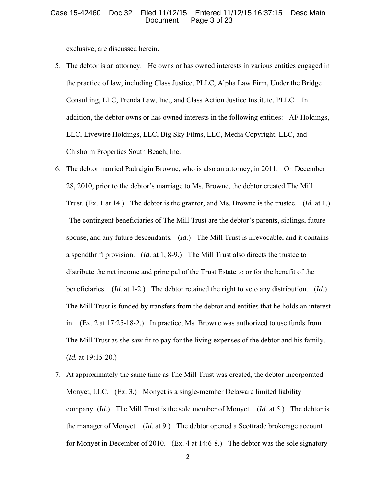#### Case 15-42460 Doc 32 Filed 11/12/15 Entered 11/12/15 16:37:15 Desc Main Page 3 of 23

exclusive, are discussed herein.

- 5. The debtor is an attorney. He owns or has owned interests in various entities engaged in the practice of law, including Class Justice, PLLC, Alpha Law Firm, Under the Bridge Consulting, LLC, Prenda Law, Inc., and Class Action Justice Institute, PLLC. In addition, the debtor owns or has owned interests in the following entities: AF Holdings, LLC, Livewire Holdings, LLC, Big Sky Films, LLC, Media Copyright, LLC, and Chisholm Properties South Beach, Inc.
- 6. The debtor married Padraigin Browne, who is also an attorney, in 2011. On December 28, 2010, prior to the debtor's marriage to Ms. Browne, the debtor created The Mill Trust. (Ex. 1 at 14.) The debtor is the grantor, and Ms. Browne is the trustee. (*Id.* at 1.) The contingent beneficiaries of The Mill Trust are the debtor's parents, siblings, future spouse, and any future descendants. (*Id.*) The Mill Trust is irrevocable, and it contains a spendthrift provision. (*Id.* at 1, 8-9.) The Mill Trust also directs the trustee to distribute the net income and principal of the Trust Estate to or for the benefit of the beneficiaries. (*Id.* at 1-2.) The debtor retained the right to veto any distribution. (*Id.*) The Mill Trust is funded by transfers from the debtor and entities that he holds an interest in. (Ex. 2 at 17:25-18-2.) In practice, Ms. Browne was authorized to use funds from The Mill Trust as she saw fit to pay for the living expenses of the debtor and his family. (*Id.* at 19:15-20.)
- 7. At approximately the same time as The Mill Trust was created, the debtor incorporated Monyet, LLC. (Ex. 3.) Monyet is a single-member Delaware limited liability company. (*Id.*) The Mill Trust is the sole member of Monyet. (*Id.* at 5.) The debtor is the manager of Monyet. (*Id.* at 9.) The debtor opened a Scottrade brokerage account for Monyet in December of 2010. (Ex. 4 at 14:6-8.) The debtor was the sole signatory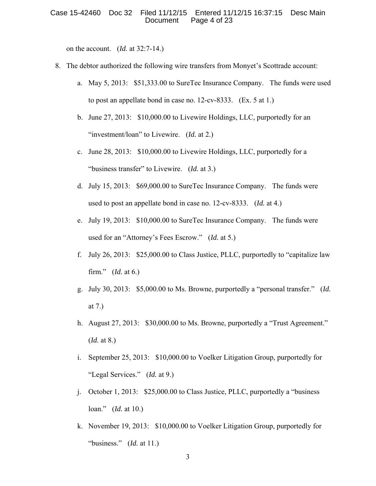on the account. (*Id.* at 32:7-14.)

- 8. The debtor authorized the following wire transfers from Monyet's Scottrade account:
	- a. May 5, 2013: \$51,333.00 to SureTec Insurance Company. The funds were used to post an appellate bond in case no. 12-cv-8333. (Ex. 5 at 1.)
	- b. June 27, 2013: \$10,000.00 to Livewire Holdings, LLC, purportedly for an "investment/loan" to Livewire. (*Id.* at 2.)
	- c. June 28, 2013: \$10,000.00 to Livewire Holdings, LLC, purportedly for a "business transfer" to Livewire. (*Id.* at 3.)
	- d. July 15, 2013: \$69,000.00 to SureTec Insurance Company. The funds were used to post an appellate bond in case no. 12-cv-8333. (*Id.* at 4.)
	- e. July 19, 2013: \$10,000.00 to SureTec Insurance Company. The funds were used for an "Attorney's Fees Escrow." (*Id.* at 5.)
	- f. July 26, 2013: \$25,000.00 to Class Justice, PLLC, purportedly to "capitalize law firm." (*Id.* at 6.)
	- g. July 30, 2013: \$5,000.00 to Ms. Browne, purportedly a "personal transfer." (*Id.* at 7.)
	- h. August 27, 2013: \$30,000.00 to Ms. Browne, purportedly a "Trust Agreement." (*Id.* at 8.)
	- i. September 25, 2013: \$10,000.00 to Voelker Litigation Group, purportedly for "Legal Services." (*Id.* at 9.)
	- j. October 1, 2013: \$25,000.00 to Class Justice, PLLC, purportedly a "business loan." (*Id.* at 10.)
	- k. November 19, 2013: \$10,000.00 to Voelker Litigation Group, purportedly for "business." (*Id.* at 11.)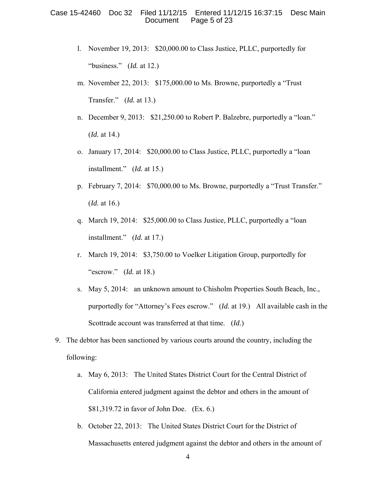- l. November 19, 2013: \$20,000.00 to Class Justice, PLLC, purportedly for "business." (*Id.* at 12.)
- m. November 22, 2013: \$175,000.00 to Ms. Browne, purportedly a "Trust Transfer." (*Id.* at 13.)
- n. December 9, 2013: \$21,250.00 to Robert P. Balzebre, purportedly a "loan." (*Id.* at 14.)
- o. January 17, 2014: \$20,000.00 to Class Justice, PLLC, purportedly a "loan installment." (*Id.* at 15.)
- p. February 7, 2014: \$70,000.00 to Ms. Browne, purportedly a "Trust Transfer." (*Id.* at 16.)
- q. March 19, 2014: \$25,000.00 to Class Justice, PLLC, purportedly a "loan installment." (*Id.* at 17.)
- r. March 19, 2014: \$3,750.00 to Voelker Litigation Group, purportedly for "escrow." (*Id.* at 18.)
- s. May 5, 2014: an unknown amount to Chisholm Properties South Beach, Inc., purportedly for "Attorney's Fees escrow." (*Id.* at 19.) All available cash in the Scottrade account was transferred at that time. (*Id.*)
- 9. The debtor has been sanctioned by various courts around the country, including the following:
	- a. May 6, 2013: The United States District Court for the Central District of California entered judgment against the debtor and others in the amount of \$81,319.72 in favor of John Doe. (Ex. 6.)
	- b. October 22, 2013: The United States District Court for the District of Massachusetts entered judgment against the debtor and others in the amount of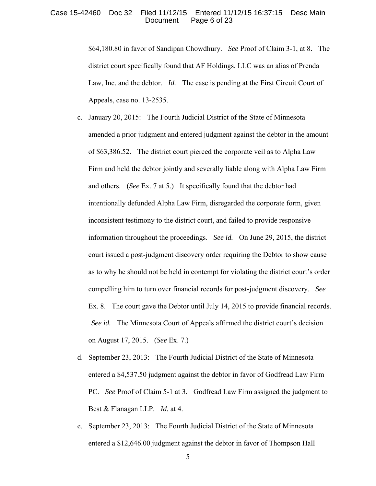#### Case 15-42460 Doc 32 Filed 11/12/15 Entered 11/12/15 16:37:15 Desc Main Page 6 of 23

\$64,180.80 in favor of Sandipan Chowdhury. *See* Proof of Claim 3-1, at 8. The district court specifically found that AF Holdings, LLC was an alias of Prenda Law, Inc. and the debtor. *Id.* The case is pending at the First Circuit Court of Appeals, case no. 13-2535.

- c. January 20, 2015: The Fourth Judicial District of the State of Minnesota amended a prior judgment and entered judgment against the debtor in the amount of \$63,386.52. The district court pierced the corporate veil as to Alpha Law Firm and held the debtor jointly and severally liable along with Alpha Law Firm and others. (*See* Ex. 7 at 5.) It specifically found that the debtor had intentionally defunded Alpha Law Firm, disregarded the corporate form, given inconsistent testimony to the district court, and failed to provide responsive information throughout the proceedings. *See id.* On June 29, 2015, the district court issued a post-judgment discovery order requiring the Debtor to show cause as to why he should not be held in contempt for violating the district court's order compelling him to turn over financial records for post-judgment discovery. *See* Ex. 8. The court gave the Debtor until July 14, 2015 to provide financial records. *See id.* The Minnesota Court of Appeals affirmed the district court's decision on August 17, 2015. (*See* Ex. 7.)
- d. September 23, 2013: The Fourth Judicial District of the State of Minnesota entered a \$4,537.50 judgment against the debtor in favor of Godfread Law Firm PC. *See* Proof of Claim 5-1 at 3. Godfread Law Firm assigned the judgment to Best & Flanagan LLP. *Id.* at 4.
- e. September 23, 2013: The Fourth Judicial District of the State of Minnesota entered a \$12,646.00 judgment against the debtor in favor of Thompson Hall

5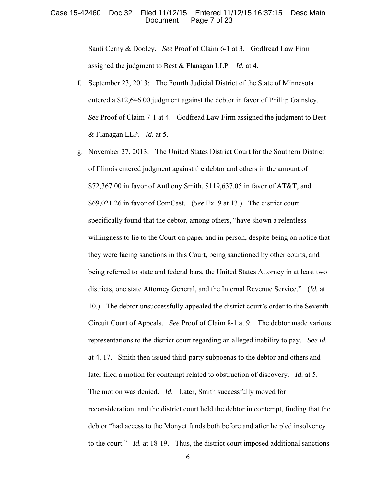#### Case 15-42460 Doc 32 Filed 11/12/15 Entered 11/12/15 16:37:15 Desc Main Page 7 of 23

Santi Cerny & Dooley. *See* Proof of Claim 6-1 at 3. Godfread Law Firm assigned the judgment to Best & Flanagan LLP. *Id.* at 4.

- f. September 23, 2013: The Fourth Judicial District of the State of Minnesota entered a \$12,646.00 judgment against the debtor in favor of Phillip Gainsley. *See* Proof of Claim 7-1 at 4. Godfread Law Firm assigned the judgment to Best & Flanagan LLP. *Id.* at 5.
- g. November 27, 2013: The United States District Court for the Southern District of Illinois entered judgment against the debtor and others in the amount of  $$72,367.00$  in favor of Anthony Smith,  $$119,637.05$  in favor of AT&T, and \$69,021.26 in favor of ComCast. (*See* Ex. 9 at 13.) The district court specifically found that the debtor, among others, "have shown a relentless willingness to lie to the Court on paper and in person, despite being on notice that they were facing sanctions in this Court, being sanctioned by other courts, and being referred to state and federal bars, the United States Attorney in at least two districts, one state Attorney General, and the Internal Revenue Service." (*Id.* at 10.) The debtor unsuccessfully appealed the district court's order to the Seventh Circuit Court of Appeals. *See* Proof of Claim 8-1 at 9. The debtor made various representations to the district court regarding an alleged inability to pay. *See id.* at 4, 17. Smith then issued third-party subpoenas to the debtor and others and later filed a motion for contempt related to obstruction of discovery. *Id.* at 5. The motion was denied. *Id.* Later, Smith successfully moved for reconsideration, and the district court held the debtor in contempt, finding that the debtor "had access to the Monyet funds both before and after he pled insolvency to the court." *Id.* at 18-19. Thus, the district court imposed additional sanctions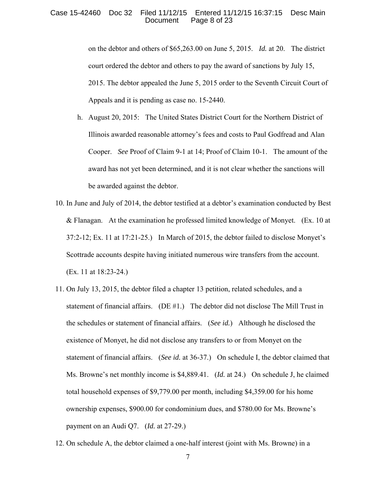#### Case 15-42460 Doc 32 Filed 11/12/15 Entered 11/12/15 16:37:15 Desc Main Page 8 of 23

on the debtor and others of \$65,263.00 on June 5, 2015. *Id.* at 20. The district court ordered the debtor and others to pay the award of sanctions by July 15, 2015. The debtor appealed the June 5, 2015 order to the Seventh Circuit Court of Appeals and it is pending as case no. 15-2440.

- h. August 20, 2015: The United States District Court for the Northern District of Illinois awarded reasonable attorney's fees and costs to Paul Godfread and Alan Cooper. *See* Proof of Claim 9-1 at 14; Proof of Claim 10-1. The amount of the award has not yet been determined, and it is not clear whether the sanctions will be awarded against the debtor.
- 10. In June and July of 2014, the debtor testified at a debtor's examination conducted by Best & Flanagan. At the examination he professed limited knowledge of Monyet. (Ex. 10 at 37:2-12; Ex. 11 at 17:21-25.) In March of 2015, the debtor failed to disclose Monyet's Scottrade accounts despite having initiated numerous wire transfers from the account. (Ex. 11 at 18:23-24.)
- 11. On July 13, 2015, the debtor filed a chapter 13 petition, related schedules, and a statement of financial affairs. (DE  $#1$ .) The debtor did not disclose The Mill Trust in the schedules or statement of financial affairs. (*See id.*) Although he disclosed the existence of Monyet, he did not disclose any transfers to or from Monyet on the statement of financial affairs. (*See id.* at 36-37.) On schedule I, the debtor claimed that Ms. Browne's net monthly income is \$4,889.41. (*Id.* at 24.) On schedule J, he claimed total household expenses of \$9,779.00 per month, including \$4,359.00 for his home ownership expenses, \$900.00 for condominium dues, and \$780.00 for Ms. Browne's payment on an Audi Q7. (*Id.* at 27-29.)
- 12. On schedule A, the debtor claimed a one-half interest (joint with Ms. Browne) in a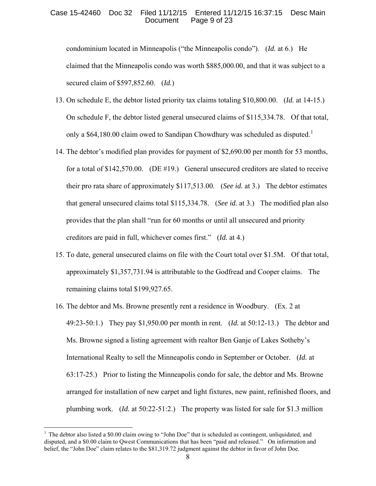### Case 15-42460 Doc 32 Filed 11/12/15 Entered 11/12/15 16:37:15 Desc Main Page 9 of 23

condominium located in Minneapolis ("the Minneapolis condo"). (*Id.* at 6.) He claimed that the Minneapolis condo was worth \$885,000.00, and that it was subject to a secured claim of \$597,852.60. (*Id.*)

- 13. On schedule E, the debtor listed priority tax claims totaling \$10,800.00. (*Id.* at 14-15.) On schedule F, the debtor listed general unsecured claims of \$115,334.78. Of that total, only a \$64,[1](#page-8-0)80.00 claim owed to Sandipan Chowdhury was scheduled as disputed.<sup>1</sup>
- 14. The debtor's modified plan provides for payment of \$2,690.00 per month for 53 months, for a total of \$142,570.00. (DE #19.) General unsecured creditors are slated to receive their pro rata share of approximately \$117,513.00. (*See id.* at 3.) The debtor estimates that general unsecured claims total \$115,334.78. (*See id.* at 3.) The modified plan also provides that the plan shall "run for 60 months or until all unsecured and priority creditors are paid in full, whichever comes first." (*Id.* at 4.)
- 15. To date, general unsecured claims on file with the Court total over \$1.5M. Of that total, approximately \$1,357,731.94 is attributable to the Godfread and Cooper claims. The remaining claims total \$199,927.65.
- 16. The debtor and Ms. Browne presently rent a residence in Woodbury. (Ex. 2 at 49:23-50:1.) They pay \$1,950.00 per month in rent. (*Id.* at 50:12-13.) The debtor and Ms. Browne signed a listing agreement with realtor Ben Ganje of Lakes Sotheby's International Realty to sell the Minneapolis condo in September or October. (*Id.* at 63:17-25.) Prior to listing the Minneapolis condo for sale, the debtor and Ms. Browne arranged for installation of new carpet and light fixtures, new paint, refinished floors, and plumbing work. (*Id.* at 50:22-51:2.) The property was listed for sale for \$1.3 million

 $\overline{a}$ 

<span id="page-8-0"></span><sup>&</sup>lt;sup>1</sup> The debtor also listed a \$0.00 claim owing to "John Doe" that is scheduled as contingent, unliquidated, and disputed, and a \$0.00 claim to Qwest Communications that has been "paid and released." On information and belief, the "John Doe" claim relates to the \$81,319.72 judgment against the debtor in favor of John Doe.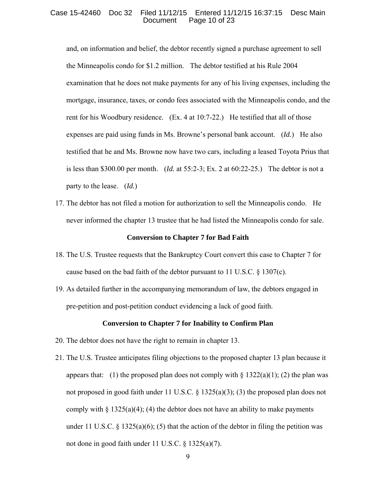### Case 15-42460 Doc 32 Filed 11/12/15 Entered 11/12/15 16:37:15 Desc Main Page 10 of 23

and, on information and belief, the debtor recently signed a purchase agreement to sell the Minneapolis condo for \$1.2 million. The debtor testified at his Rule 2004 examination that he does not make payments for any of his living expenses, including the mortgage, insurance, taxes, or condo fees associated with the Minneapolis condo, and the rent for his Woodbury residence. (Ex. 4 at 10:7-22.) He testified that all of those expenses are paid using funds in Ms. Browne's personal bank account. (*Id.*) He also testified that he and Ms. Browne now have two cars, including a leased Toyota Prius that is less than \$300.00 per month. (*Id.* at 55:2-3; Ex. 2 at 60:22-25.) The debtor is not a party to the lease. (*Id.*)

17. The debtor has not filed a motion for authorization to sell the Minneapolis condo. He never informed the chapter 13 trustee that he had listed the Minneapolis condo for sale.

### **Conversion to Chapter 7 for Bad Faith**

- 18. The U.S. Trustee requests that the Bankruptcy Court convert this case to Chapter 7 for cause based on the bad faith of the debtor pursuant to 11 U.S.C. § 1307(c).
- 19. As detailed further in the accompanying memorandum of law, the debtors engaged in pre-petition and post-petition conduct evidencing a lack of good faith.

#### **Conversion to Chapter 7 for Inability to Confirm Plan**

- 20. The debtor does not have the right to remain in chapter 13.
- 21. The U.S. Trustee anticipates filing objections to the proposed chapter 13 plan because it appears that: (1) the proposed plan does not comply with  $\S 1322(a)(1)$ ; (2) the plan was not proposed in good faith under 11 U.S.C. § 1325(a)(3); (3) the proposed plan does not comply with  $\S 1325(a)(4)$ ; (4) the debtor does not have an ability to make payments under 11 U.S.C.  $\S$  1325(a)(6); (5) that the action of the debtor in filing the petition was not done in good faith under 11 U.S.C. § 1325(a)(7).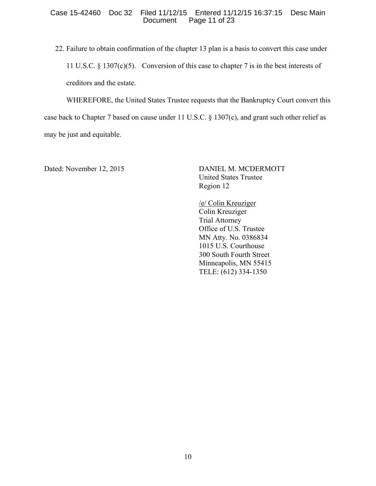### Case 15-42460 Doc 32 Filed 11/12/15 Entered 11/12/15 16:37:15 Desc Main Page 11 of 23

22. Failure to obtain confirmation of the chapter 13 plan is a basis to convert this case under 11 U.S.C. § 1307(c)(5). Conversion of this case to chapter 7 is in the best interests of creditors and the estate.

WHEREFORE, the United States Trustee requests that the Bankruptcy Court convert this case back to Chapter 7 based on cause under 11 U.S.C. § 1307(c), and grant such other relief as may be just and equitable.

Dated: November 12, 2015 DANIEL M. MCDERMOTT United States Trustee Region 12

> /e/ Colin Kreuziger Colin Kreuziger Trial Attorney Office of U.S. Trustee MN Atty. No. 0386834 1015 U.S. Courthouse 300 South Fourth Street Minneapolis, MN 55415 TELE: (612) 334-1350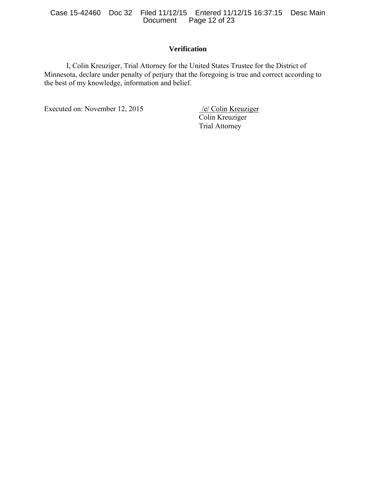Case 15-42460 Doc 32 Filed 11/12/15 Entered 11/12/15 16:37:15 Desc Main Page 12 of 23

# **Verification**

I, Colin Kreuziger, Trial Attorney for the United States Trustee for the District of Minnesota, declare under penalty of perjury that the foregoing is true and correct according to the best of my knowledge, information and belief.

Executed on: November 12, 2015 /e/ Colin Kreuziger

Colin Kreuziger Trial Attorney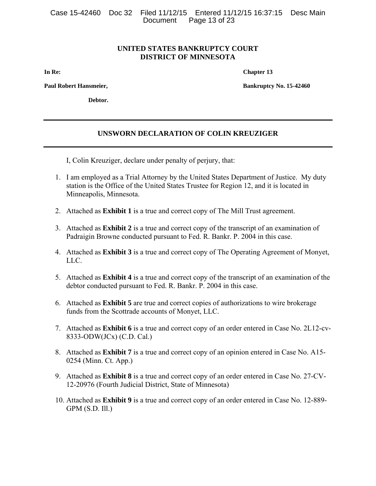Case 15-42460 Doc 32 Filed 11/12/15 Entered 11/12/15 16:37:15 Desc Main Page 13 of  $23$ 

### **UNITED STATES BANKRUPTCY COURT DISTRICT OF MINNESOTA**

**In Re:** Chapter 13

**Paul Robert Hansmeier, Bankruptcy No. 15-42460** 

**Debtor.** 

# **UNSWORN DECLARATION OF COLIN KREUZIGER**

I, Colin Kreuziger, declare under penalty of perjury, that:

- 1. I am employed as a Trial Attorney by the United States Department of Justice. My duty station is the Office of the United States Trustee for Region 12, and it is located in Minneapolis, Minnesota.
- 2. Attached as **Exhibit 1** is a true and correct copy of The Mill Trust agreement.
- 3. Attached as **Exhibit 2** is a true and correct copy of the transcript of an examination of Padraigin Browne conducted pursuant to Fed. R. Bankr. P. 2004 in this case.
- 4. Attached as **Exhibit 3** is a true and correct copy of The Operating Agreement of Monyet, LLC.
- 5. Attached as **Exhibit 4** is a true and correct copy of the transcript of an examination of the debtor conducted pursuant to Fed. R. Bankr. P. 2004 in this case.
- 6. Attached as **Exhibit 5** are true and correct copies of authorizations to wire brokerage funds from the Scottrade accounts of Monyet, LLC.
- 7. Attached as **Exhibit 6** is a true and correct copy of an order entered in Case No. 2L12-cv-8333-ODW(JCx) (C.D. Cal.)
- 8. Attached as **Exhibit 7** is a true and correct copy of an opinion entered in Case No. A15- 0254 (Minn. Ct. App.)
- 9. Attached as **Exhibit 8** is a true and correct copy of an order entered in Case No. 27-CV-12-20976 (Fourth Judicial District, State of Minnesota)
- 10. Attached as **Exhibit 9** is a true and correct copy of an order entered in Case No. 12-889- GPM (S.D. Ill.)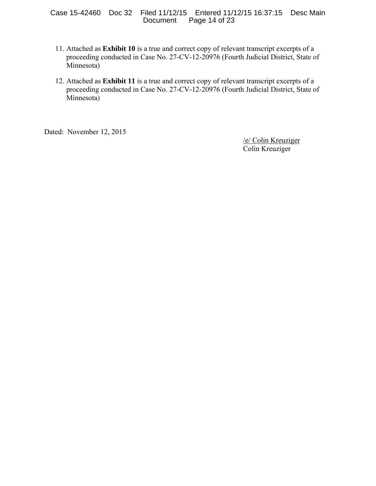### Case 15-42460 Doc 32 Filed 11/12/15 Entered 11/12/15 16:37:15 Desc Main Page 14 of 23

- 11. Attached as **Exhibit 10** is a true and correct copy of relevant transcript excerpts of a proceeding conducted in Case No. 27-CV-12-20976 (Fourth Judicial District, State of Minnesota)
- 12. Attached as **Exhibit 11** is a true and correct copy of relevant transcript excerpts of a proceeding conducted in Case No. 27-CV-12-20976 (Fourth Judicial District, State of Minnesota)

Dated: November 12, 2015

 /e/ Colin Kreuziger Colin Kreuziger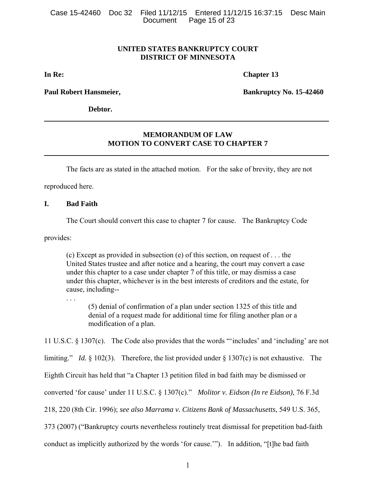Case 15-42460 Doc 32 Filed 11/12/15 Entered 11/12/15 16:37:15 Desc Main Page 15 of 23

## **UNITED STATES BANKRUPTCY COURT DISTRICT OF MINNESOTA**

**In Re:** Chapter 13

**Paul Robert Hansmeier, The Community Community Bankruptcy No. 15-42460** 

**Debtor.** 

## **MEMORANDUM OF LAW MOTION TO CONVERT CASE TO CHAPTER 7**

The facts are as stated in the attached motion. For the sake of brevity, they are not

reproduced here.

### **I. Bad Faith**

The Court should convert this case to chapter 7 for cause. The Bankruptcy Code

provides:

(c) Except as provided in subsection (e) of this section, on request of . . . the United States trustee and after notice and a hearing, the court may convert a case under this chapter to a case under chapter 7 of this title, or may dismiss a case under this chapter, whichever is in the best interests of creditors and the estate, for cause, including--

(5) denial of confirmation of a plan under section 1325 of this title and denial of a request made for additional time for filing another plan or a modification of a plan.

11 U.S.C. § 1307(c). The Code also provides that the words "'includes' and 'including' are not

limiting." *Id.* § 102(3). Therefore, the list provided under § 1307(c) is not exhaustive. The

Eighth Circuit has held that "a Chapter 13 petition filed in bad faith may be dismissed or

converted 'for cause' under 11 U.S.C. § 1307(c)." *Molitor v. Eidson (In re Eidson)*, 76 F.3d

218, 220 (8th Cir. 1996); *see also Marrama v. Citizens Bank of Massachusetts*, 549 U.S. 365,

373 (2007) ("Bankruptcy courts nevertheless routinely treat dismissal for prepetition bad-faith

conduct as implicitly authorized by the words 'for cause.'"). In addition, "[t]he bad faith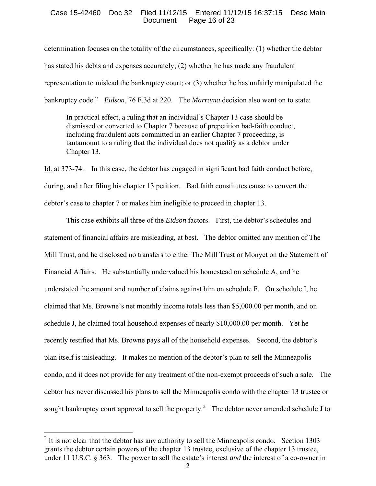#### Case 15-42460 Doc 32 Filed 11/12/15 Entered 11/12/15 16:37:15 Desc Main Page 16 of 23

determination focuses on the totality of the circumstances, specifically: (1) whether the debtor has stated his debts and expenses accurately; (2) whether he has made any fraudulent representation to mislead the bankruptcy court; or (3) whether he has unfairly manipulated the bankruptcy code." *Eidson*, 76 F.3d at 220. The *Marrama* decision also went on to state:

In practical effect, a ruling that an individual's Chapter 13 case should be dismissed or converted to Chapter 7 because of prepetition bad-faith conduct, including fraudulent acts committed in an earlier Chapter 7 proceeding, is tantamount to a ruling that the individual does not qualify as a debtor under Chapter 13.

Id. at 373-74. In this case, the debtor has engaged in significant bad faith conduct before, during, and after filing his chapter 13 petition. Bad faith constitutes cause to convert the debtor's case to chapter 7 or makes him ineligible to proceed in chapter 13.

This case exhibits all three of the *Eidson* factors. First, the debtor's schedules and statement of financial affairs are misleading, at best. The debtor omitted any mention of The Mill Trust, and he disclosed no transfers to either The Mill Trust or Monyet on the Statement of Financial Affairs. He substantially undervalued his homestead on schedule A, and he understated the amount and number of claims against him on schedule F. On schedule I, he claimed that Ms. Browne's net monthly income totals less than \$5,000.00 per month, and on schedule J, he claimed total household expenses of nearly \$10,000.00 per month. Yet he recently testified that Ms. Browne pays all of the household expenses. Second, the debtor's plan itself is misleading. It makes no mention of the debtor's plan to sell the Minneapolis condo, and it does not provide for any treatment of the non-exempt proceeds of such a sale. The debtor has never discussed his plans to sell the Minneapolis condo with the chapter 13 trustee or sought bankruptcy court approval to sell the property.<sup>[2](#page-15-0)</sup> The debtor never amended schedule J to

 $\overline{a}$ 

<span id="page-15-0"></span> $2$  It is not clear that the debtor has any authority to sell the Minneapolis condo. Section 1303 grants the debtor certain powers of the chapter 13 trustee, exclusive of the chapter 13 trustee, under 11 U.S.C. § 363. The power to sell the estate's interest *and* the interest of a co-owner in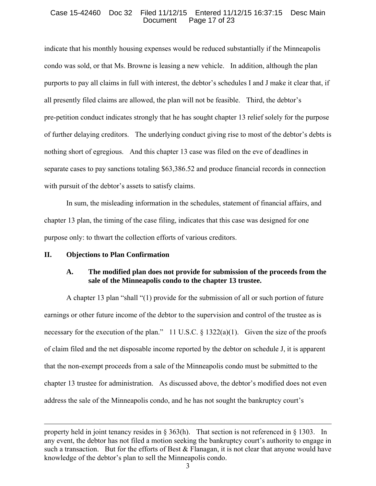### Case 15-42460 Doc 32 Filed 11/12/15 Entered 11/12/15 16:37:15 Desc Main Page 17 of 23

indicate that his monthly housing expenses would be reduced substantially if the Minneapolis condo was sold, or that Ms. Browne is leasing a new vehicle. In addition, although the plan purports to pay all claims in full with interest, the debtor's schedules I and J make it clear that, if all presently filed claims are allowed, the plan will not be feasible. Third, the debtor's pre-petition conduct indicates strongly that he has sought chapter 13 relief solely for the purpose of further delaying creditors. The underlying conduct giving rise to most of the debtor's debts is nothing short of egregious. And this chapter 13 case was filed on the eve of deadlines in separate cases to pay sanctions totaling \$63,386.52 and produce financial records in connection with pursuit of the debtor's assets to satisfy claims.

 In sum, the misleading information in the schedules, statement of financial affairs, and chapter 13 plan, the timing of the case filing, indicates that this case was designed for one purpose only: to thwart the collection efforts of various creditors.

### **II. Objections to Plan Confirmation**

 $\overline{a}$ 

## **A. The modified plan does not provide for submission of the proceeds from the sale of the Minneapolis condo to the chapter 13 trustee.**

A chapter 13 plan "shall "(1) provide for the submission of all or such portion of future earnings or other future income of the debtor to the supervision and control of the trustee as is necessary for the execution of the plan." 11 U.S.C.  $\S$  1322(a)(1). Given the size of the proofs of claim filed and the net disposable income reported by the debtor on schedule J, it is apparent that the non-exempt proceeds from a sale of the Minneapolis condo must be submitted to the chapter 13 trustee for administration. As discussed above, the debtor's modified does not even address the sale of the Minneapolis condo, and he has not sought the bankruptcy court's

property held in joint tenancy resides in § 363(h). That section is not referenced in § 1303. In any event, the debtor has not filed a motion seeking the bankruptcy court's authority to engage in such a transaction. But for the efforts of Best  $\&$  Flanagan, it is not clear that anyone would have knowledge of the debtor's plan to sell the Minneapolis condo.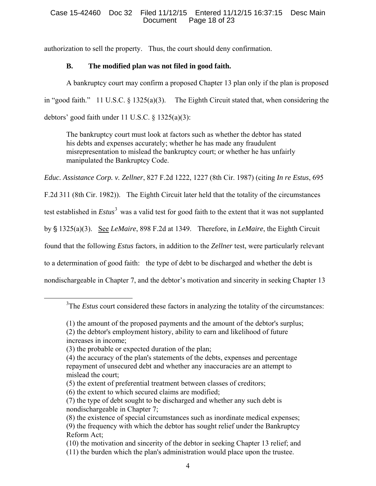authorization to sell the property. Thus, the court should deny confirmation.

# **B. The modified plan was not filed in good faith.**

A bankruptcy court may confirm a proposed Chapter 13 plan only if the plan is proposed in "good faith." 11 U.S.C. § 1325(a)(3). The Eighth Circuit stated that, when considering the debtors' good faith under 11 U.S.C. § 1325(a)(3):

The bankruptcy court must look at factors such as whether the debtor has stated his debts and expenses accurately; whether he has made any fraudulent misrepresentation to mislead the bankruptcy court; or whether he has unfairly manipulated the Bankruptcy Code.

*Educ. Assistance Corp. v. Zellner*, 827 F.2d 1222, 1227 (8th Cir. 1987) (citing *In re Estus*, 695

F.2d 311 (8th Cir. 1982)). The Eighth Circuit later held that the totality of the circumstances

test established in *Estus*<sup>[3](#page-17-0)</sup> was a valid test for good faith to the extent that it was not supplanted

by § 1325(a)(3). <u>See *LeMaire*</u>, 898 F.2d at 1349. Therefore, in *LeMaire*, the Eighth Circuit

found that the following *Estus* factors, in addition to the *Zellner* test, were particularly relevant

to a determination of good faith: the type of debt to be discharged and whether the debt is

nondischargeable in Chapter 7, and the debtor's motivation and sincerity in seeking Chapter 13

<span id="page-17-0"></span> $\frac{1}{3}$ <sup>3</sup>The *Estus* court considered these factors in analyzing the totality of the circumstances:

<sup>(1)</sup> the amount of the proposed payments and the amount of the debtor's surplus;

<sup>(2)</sup> the debtor's employment history, ability to earn and likelihood of future increases in income;

<sup>(3)</sup> the probable or expected duration of the plan;

<sup>(4)</sup> the accuracy of the plan's statements of the debts, expenses and percentage repayment of unsecured debt and whether any inaccuracies are an attempt to mislead the court;

<sup>(5)</sup> the extent of preferential treatment between classes of creditors;

<sup>(6)</sup> the extent to which secured claims are modified;

<sup>(7)</sup> the type of debt sought to be discharged and whether any such debt is nondischargeable in Chapter 7;

<sup>(8)</sup> the existence of special circumstances such as inordinate medical expenses; (9) the frequency with which the debtor has sought relief under the Bankruptcy Reform Act;

<sup>(10)</sup> the motivation and sincerity of the debtor in seeking Chapter 13 relief; and (11) the burden which the plan's administration would place upon the trustee.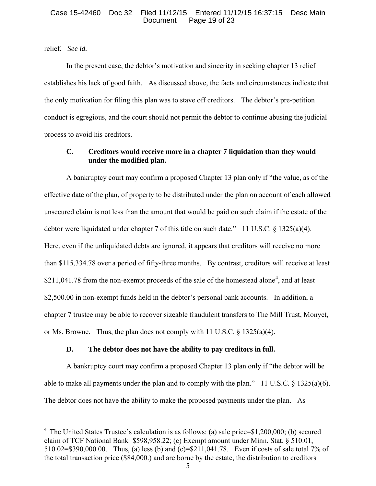### Case 15-42460 Doc 32 Filed 11/12/15 Entered 11/12/15 16:37:15 Desc Main Page 19 of 23

## relief. *See id.*

 $\overline{a}$ 

In the present case, the debtor's motivation and sincerity in seeking chapter 13 relief establishes his lack of good faith. As discussed above, the facts and circumstances indicate that the only motivation for filing this plan was to stave off creditors. The debtor's pre-petition conduct is egregious, and the court should not permit the debtor to continue abusing the judicial process to avoid his creditors.

# **C. Creditors would receive more in a chapter 7 liquidation than they would under the modified plan.**

A bankruptcy court may confirm a proposed Chapter 13 plan only if "the value, as of the effective date of the plan, of property to be distributed under the plan on account of each allowed unsecured claim is not less than the amount that would be paid on such claim if the estate of the debtor were liquidated under chapter 7 of this title on such date." 11 U.S.C. § 1325(a)(4). Here, even if the unliquidated debts are ignored, it appears that creditors will receive no more than \$115,334.78 over a period of fifty-three months. By contrast, creditors will receive at least \$211,0[4](#page-18-0)1.78 from the non-exempt proceeds of the sale of the homestead alone<sup>4</sup>, and at least \$2,500.00 in non-exempt funds held in the debtor's personal bank accounts. In addition, a chapter 7 trustee may be able to recover sizeable fraudulent transfers to The Mill Trust, Monyet, or Ms. Browne. Thus, the plan does not comply with 11 U.S.C.  $\frac{\xi}{3}$  1325(a)(4).

## **D. The debtor does not have the ability to pay creditors in full.**

A bankruptcy court may confirm a proposed Chapter 13 plan only if "the debtor will be able to make all payments under the plan and to comply with the plan." 11 U.S.C. § 1325(a)(6). The debtor does not have the ability to make the proposed payments under the plan. As

<span id="page-18-0"></span> $4$  The United States Trustee's calculation is as follows: (a) sale price=\$1,200,000; (b) secured claim of TCF National Bank=\$598,958.22; (c) Exempt amount under Minn. Stat. § 510.01, 510.02=\$390,000.00. Thus, (a) less (b) and (c)=\$211,041.78. Even if costs of sale total 7% of the total transaction price (\$84,000.) and are borne by the estate, the distribution to creditors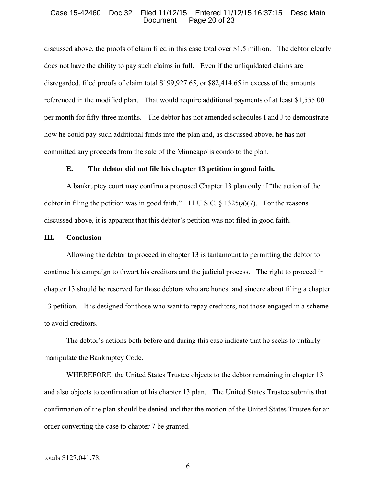### Case 15-42460 Doc 32 Filed 11/12/15 Entered 11/12/15 16:37:15 Desc Main Page 20 of 23

discussed above, the proofs of claim filed in this case total over \$1.5 million. The debtor clearly does not have the ability to pay such claims in full. Even if the unliquidated claims are disregarded, filed proofs of claim total \$199,927.65, or \$82,414.65 in excess of the amounts referenced in the modified plan. That would require additional payments of at least \$1,555.00 per month for fifty-three months. The debtor has not amended schedules I and J to demonstrate how he could pay such additional funds into the plan and, as discussed above, he has not committed any proceeds from the sale of the Minneapolis condo to the plan.

## **E. The debtor did not file his chapter 13 petition in good faith.**

 A bankruptcy court may confirm a proposed Chapter 13 plan only if "the action of the debtor in filing the petition was in good faith." 11 U.S.C.  $\S$  1325(a)(7). For the reasons discussed above, it is apparent that this debtor's petition was not filed in good faith.

### **III. Conclusion**

Allowing the debtor to proceed in chapter 13 is tantamount to permitting the debtor to continue his campaign to thwart his creditors and the judicial process. The right to proceed in chapter 13 should be reserved for those debtors who are honest and sincere about filing a chapter 13 petition. It is designed for those who want to repay creditors, not those engaged in a scheme to avoid creditors.

The debtor's actions both before and during this case indicate that he seeks to unfairly manipulate the Bankruptcy Code.

WHEREFORE, the United States Trustee objects to the debtor remaining in chapter 13 and also objects to confirmation of his chapter 13 plan. The United States Trustee submits that confirmation of the plan should be denied and that the motion of the United States Trustee for an order converting the case to chapter 7 be granted.

 $\overline{a}$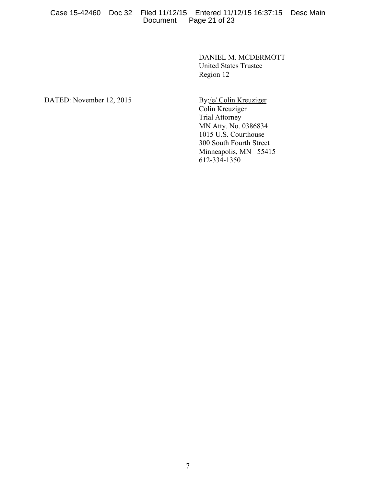### Case 15-42460 Doc 32 Filed 11/12/15 Entered 11/12/15 16:37:15 Desc Main Page 21 of 23

DANIEL M. MCDERMOTT United States Trustee Region 12

DATED: November 12, 2015 By:/e/ Colin Kreuziger

Colin Kreuziger Trial Attorney MN Atty. No. 0386834 1015 U.S. Courthouse 300 South Fourth Street Minneapolis, MN 55415 612-334-1350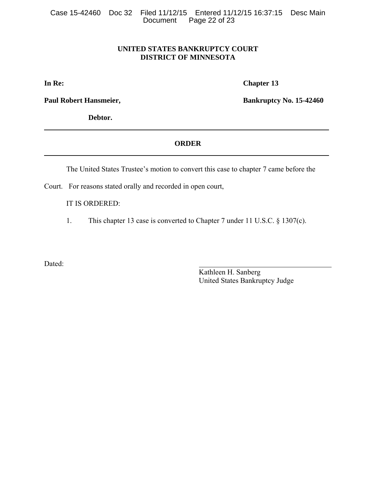# **UNITED STATES BANKRUPTCY COURT DISTRICT OF MINNESOTA**

**In Re:** Chapter 13

**Debtor.** 

Paul Robert Hansmeier, **Bankruptcy No. 15-42460** 

## **ORDER**

The United States Trustee's motion to convert this case to chapter 7 came before the

Court. For reasons stated orally and recorded in open court,

IT IS ORDERED:

1. This chapter 13 case is converted to Chapter 7 under 11 U.S.C. § 1307(c).

Dated:

Kathleen H. Sanberg United States Bankruptcy Judge